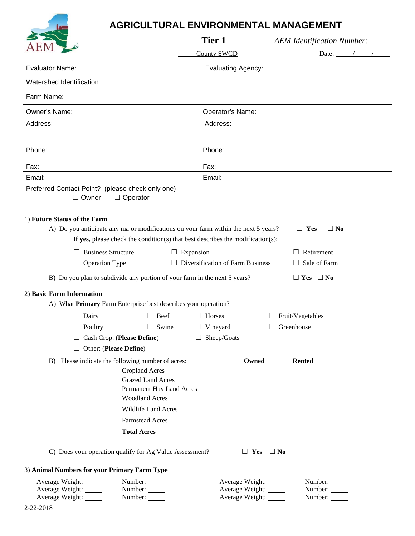## **AGRICULTURAL ENVIRONMENTAL MANAGEMENT**

|                                                                  |                                                                                                                                                                      | Tier 1                                                      | <b>AEM Identification Number:</b>                                                          |
|------------------------------------------------------------------|----------------------------------------------------------------------------------------------------------------------------------------------------------------------|-------------------------------------------------------------|--------------------------------------------------------------------------------------------|
|                                                                  |                                                                                                                                                                      | <b>County SWCD</b>                                          | Date: $\frac{1}{\sqrt{1-\frac{1}{2}}}\left\vert \frac{1}{\sqrt{1-\frac{1}{2}}}\right\vert$ |
| <b>Evaluator Name:</b>                                           |                                                                                                                                                                      | <b>Evaluating Agency:</b>                                   |                                                                                            |
| Watershed Identification:                                        |                                                                                                                                                                      |                                                             |                                                                                            |
| Farm Name:                                                       |                                                                                                                                                                      |                                                             |                                                                                            |
| Owner's Name:                                                    |                                                                                                                                                                      | Operator's Name:                                            |                                                                                            |
| Address:                                                         |                                                                                                                                                                      | Address:                                                    |                                                                                            |
| Phone:                                                           |                                                                                                                                                                      | Phone:                                                      |                                                                                            |
| Fax:                                                             |                                                                                                                                                                      | Fax:                                                        |                                                                                            |
| Email:                                                           |                                                                                                                                                                      | Email:                                                      |                                                                                            |
| Preferred Contact Point? (please check only one)<br>$\Box$ Owner | $\Box$ Operator                                                                                                                                                      |                                                             |                                                                                            |
| 1) Future Status of the Farm                                     | A) Do you anticipate any major modifications on your farm within the next 5 years?<br>If yes, please check the condition(s) that best describes the modification(s): |                                                             | $\Box$ Yes<br>$\Box$ No                                                                    |
| <b>Business Structure</b><br>ш                                   | $\Box$ Expansion                                                                                                                                                     |                                                             | Retirement<br>$\perp$                                                                      |
| <b>Operation Type</b><br>$\Box$                                  |                                                                                                                                                                      | $\Box$ Diversification of Farm Business                     | Sale of Farm<br>$\perp$                                                                    |
|                                                                  | B) Do you plan to subdivide any portion of your farm in the next 5 years?                                                                                            |                                                             | $\Box$ Yes $\Box$ No                                                                       |
| 2) Basic Farm Information                                        | A) What Primary Farm Enterprise best describes your operation?                                                                                                       |                                                             |                                                                                            |
| $\Box$ Dairy                                                     | $\Box$ Beef                                                                                                                                                          | $\Box$ Horses                                               | $\Box$ Fruit/Vegetables                                                                    |
| $\Box$ Poultry                                                   | $\Box$ Swine                                                                                                                                                         | $\Box$ Vineyard                                             | Greenhouse<br>ш                                                                            |
|                                                                  | Cash Crop: (Please Define) _____                                                                                                                                     | $\Box$ Sheep/Goats                                          |                                                                                            |
|                                                                  | $\Box$ Other: (Please Define) $\_\_$                                                                                                                                 |                                                             |                                                                                            |
|                                                                  | B) Please indicate the following number of acres:<br><b>Cropland Acres</b><br><b>Grazed Land Acres</b><br>Permanent Hay Land Acres<br><b>Woodland Acres</b>          | Owned                                                       | <b>Rented</b>                                                                              |
|                                                                  | <b>Wildlife Land Acres</b>                                                                                                                                           |                                                             |                                                                                            |
|                                                                  | <b>Farmstead Acres</b>                                                                                                                                               |                                                             |                                                                                            |
|                                                                  | <b>Total Acres</b>                                                                                                                                                   |                                                             |                                                                                            |
|                                                                  | C) Does your operation qualify for Ag Value Assessment?                                                                                                              | $\Box$ Yes                                                  | $\Box$ No                                                                                  |
| 3) Animal Numbers for your Primary Farm Type                     |                                                                                                                                                                      |                                                             |                                                                                            |
| Average Weight:<br>Average Weight:<br>Average Weight:            | Number:<br>Number:<br>Number:                                                                                                                                        | Average Weight: _____<br>Average Weight:<br>Average Weight: | Number:<br>Number:<br>Number:                                                              |

Ċ.